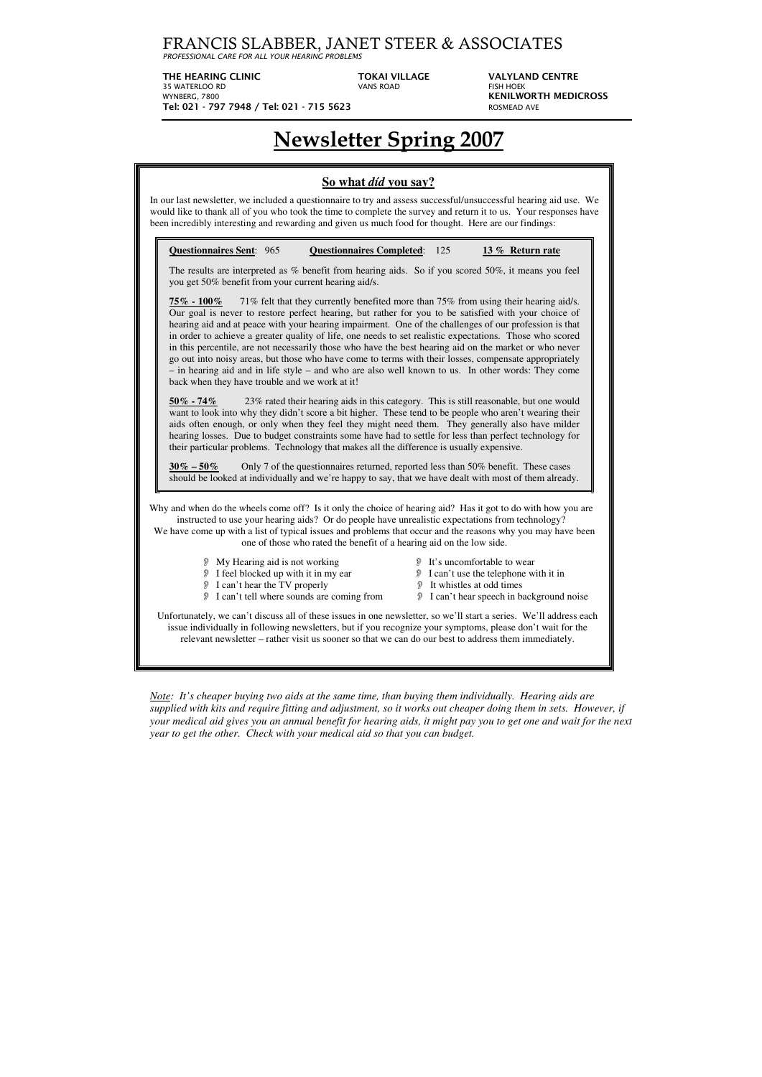FRANCIS SLABBER, JANET STEER & ASSOCIATES

*PROFESSIONAL CARE FOR ALL YOUR HEARING PROBLEMS*

THE HEARING CLINIC **TOKAI VILLAGE** VALYLAND CENTRE

WYNBERG, 7800 **KENILWORTH MEDICROSS Tel: 021 - 797 7948 / Tel: 021 - 715 5623** ROSMEAD AVE

35 WATERLOO RD VANS ROAD FISH HOEK

# **Newsletter Spring 2007**

| So what <i>did</i> you say?<br>In our last newsletter, we included a questionnaire to try and assess successful/unsuccessful hearing aid use. We<br>would like to thank all of you who took the time to complete the survey and return it to us. Your responses have<br>been incredibly interesting and rewarding and given us much food for thought. Here are our findings:                                                                                                                                                                                                                                                                                                                                                                                                                                                                                                                                                                                                                                                                                                                                                                                                                                                                                                                                                                                                                                                                                                                                                                                                      |
|-----------------------------------------------------------------------------------------------------------------------------------------------------------------------------------------------------------------------------------------------------------------------------------------------------------------------------------------------------------------------------------------------------------------------------------------------------------------------------------------------------------------------------------------------------------------------------------------------------------------------------------------------------------------------------------------------------------------------------------------------------------------------------------------------------------------------------------------------------------------------------------------------------------------------------------------------------------------------------------------------------------------------------------------------------------------------------------------------------------------------------------------------------------------------------------------------------------------------------------------------------------------------------------------------------------------------------------------------------------------------------------------------------------------------------------------------------------------------------------------------------------------------------------------------------------------------------------|
| <b>Questionnaires Sent: 965</b><br><b>Questionnaires Completed:</b> 125<br>13 % Return rate<br>The results are interpreted as % benefit from hearing aids. So if you scored 50%, it means you feel<br>you get 50% benefit from your current hearing aid/s.                                                                                                                                                                                                                                                                                                                                                                                                                                                                                                                                                                                                                                                                                                                                                                                                                                                                                                                                                                                                                                                                                                                                                                                                                                                                                                                        |
| 71% felt that they currently benefited more than 75% from using their hearing aid/s.<br>$\frac{75\%}{ }$ - 100%<br>Our goal is never to restore perfect hearing, but rather for you to be satisfied with your choice of<br>hearing aid and at peace with your hearing impairment. One of the challenges of our profession is that<br>in order to achieve a greater quality of life, one needs to set realistic expectations. Those who scored<br>in this percentile, are not necessarily those who have the best hearing aid on the market or who never<br>go out into noisy areas, but those who have come to terms with their losses, compensate appropriately<br>- in hearing aid and in life style - and who are also well known to us. In other words: They come<br>back when they have trouble and we work at it!<br>23% rated their hearing aids in this category. This is still reasonable, but one would<br>$50\% - 74\%$<br>want to look into why they didn't score a bit higher. These tend to be people who aren't wearing their<br>aids often enough, or only when they feel they might need them. They generally also have milder<br>hearing losses. Due to budget constraints some have had to settle for less than perfect technology for<br>their particular problems. Technology that makes all the difference is usually expensive.<br>Only 7 of the questionnaires returned, reported less than 50% benefit. These cases<br>$\frac{30\%}{6} - 50\%$<br>should be looked at individually and we're happy to say, that we have dealt with most of them already. |
| Why and when do the wheels come off? Is it only the choice of hearing aid? Has it got to do with how you are<br>instructed to use your hearing aids? Or do people have unrealistic expectations from technology?<br>We have come up with a list of typical issues and problems that occur and the reasons why you may have been<br>one of those who rated the benefit of a hearing aid on the low side.                                                                                                                                                                                                                                                                                                                                                                                                                                                                                                                                                                                                                                                                                                                                                                                                                                                                                                                                                                                                                                                                                                                                                                           |
| My Hearing aid is not working<br>It's uncomfortable to wear<br>P<br>I feel blocked up with it in my ear<br>I can't use the telephone with it in<br>I can't hear the TV properly<br>It whistles at odd times<br>I can't tell where sounds are coming from<br>I can't hear speech in background noise<br>Ð<br>D)                                                                                                                                                                                                                                                                                                                                                                                                                                                                                                                                                                                                                                                                                                                                                                                                                                                                                                                                                                                                                                                                                                                                                                                                                                                                    |
| Unfortunately, we can't discuss all of these issues in one newsletter, so we'll start a series. We'll address each<br>issue individually in following newsletters, but if you recognize your symptoms, please don't wait for the<br>relevant newsletter – rather visit us sooner so that we can do our best to address them immediately.                                                                                                                                                                                                                                                                                                                                                                                                                                                                                                                                                                                                                                                                                                                                                                                                                                                                                                                                                                                                                                                                                                                                                                                                                                          |

*Note: It's cheaper buying two aids at the same time, than buying them individually. Hearing aids are supplied with kits and require fitting and adjustment, so it works out cheaper doing them in sets. However, if your medical aid gives you an annual benefit for hearing aids, it might pay you to get one and wait for the next year to get the other. Check with your medical aid so that you can budget.*